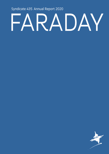Syndicate 435 Annual Report 2020

# FARADAY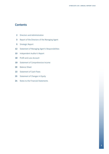# **Contents**

- Directors and Administration
- Report of the Directors of the Managing Agent
- Strategic Report
- Statement of Managing Agent's Responsibilities
- Independent Auditor's Report
- Profit and Loss Account
- Statement of Comprehensive Income
- Balance Sheet
- Statement of Cash Flows
- Statement of Changes in Equity
- Notes to the Financial Statements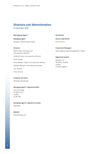# **Directors and Administration**

31 December 2020

# **Managing Agent**

*Managing Agent* Faraday Underwriting Limited

# *Directors*

Martin Pike, *Chairman and non-executive director* Andrew D'Arcy, *non-executive director* Kevin Harker Terry Masters, *Senior non-executive director* Stephen Michael, *non-executive director* Tom Shelley Chris Thorne

# **Syndicate**

*Active Underwriter* Chris Thorne

*Investment Managers* New England Asset Management Limited

## *Registered Auditor*

Deloitte LLP Statutory Auditor London United Kingdom

# *Company Secretary*

Elisabeth Richardson

# *Managing Agent's registered office*

Corn Exchange 55 Mark Lane London EC3R 7NE

*Managing Agent's registered number* 1682486

*Website* www.faraday.com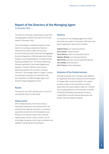# **Report of the Directors of the Managing Agent**

31 December 2020

The directors of Faraday Underwriting Limited ('the managing agent') present their report for the year ended 31 December 2020.

This Annual Report is prepared using the annual basis of accounting as required by Statutory Instrument No 1950 of 2008, the Insurance Accounts Directive (Lloyd's Syndicate and Aggregate Accounts) Regulations 2008 and applicable United Kingdom Accounting Standards, including Financial Reporting Standard 102: The Financial Reporting Standard applicable in the United Kingdom and Republic of Ireland ('FRS102') and Financial Reporting Standard 103: Insurance Contracts ('FRS103'). The Strategic Report on page 5 contains the information required to be disclosed under the Companies Act 2006 (Strategic Report and Directors' Report) Regulations 2013.

# **Results**

The result for the 2020 calendar year is a profit of £49,930,000 (2019: £23,834,000).

# **Going concern**

After making enquiries, the directors have a reasonable expectation that Syndicate 435 ('the syndicate) has adequate resources to continue in operational existence for the foreseeable future. Moreover, the directors expect that continued capital support will be in place in order to do so. Accordingly, the going concern basis continues to be adopted in preparing the Annual Report.

# **Directors**

The directors of the managing agent who served during the year ended 31 December 2020 and to the date of signing this report were as follows:

Andrew D'Arcy, *non-executive director*  Kevin Harker, *Finance Director* Terry Masters, *Senior non-executive director*  Stephen Michael, *non-executive director* Martin Pike, *Chairman and non-executive director*  Tom Shelley, *Chief Executive*  Chris Thorne, *Active Underwriter*

## **Expansion of the Faraday business**

Although Syndicate 435 is Faraday's main platform, its capabilities have been enhanced by the formation of Faraday MGA Limited ('the MGA'). This vehicle provides a means to accommodate our clients' needs when the Lloyd's platform does not. The MGA has a binding authority to write business on behalf of Berkshire Hathaway International Insurance Limited (BHIIL) and with General Reinsurance AG (GRAG), both are related companies.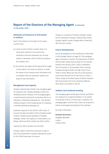# **Report of the Directors of the Managing Agent** (continued)

31 December 2020

# **Statement of disclosure of information to auditors**

Each of the directors at the date of this report confirms that:

- (a) so far as each of them is aware, there is no information relevant to the audit of the syndicate's financial statements for the year ended 31 December 2020 of which the auditors are unaware; and
- (b) the director has taken all the steps that he ought to have taken in his duty as a director to make him aware of any relevant audit information and to establish that the syndicate's auditors are aware of that information.

# **Management and capacity**

Faraday Underwriting Limited is the managing agent for Syndicate 435. Faraday Holdings Limited, the immediate parent company of the managing agent, is itself owned by General Re Corporation which is a subsidiary of Berkshire Hathaway Inc. The ultimate holding company of the Faraday group of companies is therefore Berkshire Hathaway Inc.

Syndicate capacity for the 2018 to 2021 years of account has been provided in full by Faraday Capital Limited, a wholly owned subsidiary of Faraday Holdings Limited. The capacity in recent years is as follows 2018 and 2019: £400m and 2020: £435m.

Capacity for 2021 has been set at £435m.

Faraday Capital Limited has exercised its right to waive the requirement to prepare separate accounts for the 2018 closed year of account.

Faraday is composed of Faraday Holdings Limited and its subsidiaries Faraday Underwriting Limited, Faraday Capital Limited, Faraday MGA Limited and GRF Services Limited.

## **Future developments**

Future developments at the syndicate are described in the Strategic Report on page 10. The managing agent continues to monitor the implications of Brexit and has been using Lloyd's Europe for EU business written since January 2019. Lloyd's completed a Part VII transfer on 30 December 2020 covering European business written through Lloyd's from 1993 to 2018. Whilst less than 5% of the premium income was derived from EU territories in 2020, a robust review of the likely impact of Brexit indicates that the business will not be adversely affected. More detail is provided in note 20.

## **Auditors and syndicate meeting**

The managing agent hereby gives formal notification of a proposal to re-appoint Deloitte LLP as auditor of Syndicate 435 for a further year. In addition, the managing agent confirms that it does not propose to hold an annual general meeting of the syndicate.

By order of the board

Elisabeth Richardson *Company Secretary* London 2 March 2021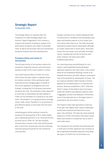# **Strategic Report**

31 December 2020

The Strategic Report as required under the Companies Act 2006 (Strategic Report and Directors' Report) Regulations 2013 contains a review of the business including an analysis of its performance during the year ended 31 December 2020, as well as the principal risks and uncertainties facing the business and future developments.

# **Principal activity and review of the business**

The principal activity of the business remains the transaction of general insurance and reinsurance business as part of the Lloyd's market in London.

The overall financial effect of COVID-19 on the 2020 results has been subject to detailed review but remains uncertain. Policy wording has been examined and the managing agent is mindful of the various regulatory investigations and Court findings, including the FCA's Business Interruption Insurance test case. The syndicate's robust approach to reserving, as noted below, has been applied to COVID-19 loss estimates as it would be to any other event. The pandemic is on-going and policy wordings remain under review. Therefore, it is not practical to give definitive figures on the losses from the event at this time.

Underlying gross written premium income for Syndicate 435 decreased by 9.7% in 2020 notably due to depressed premiums in our Travel and Airlines accounts due to COVID-19. The rate increases achieved were in excess of the initial 2020 business plan in most lines. Of particular note the continuing improved rating environment for the Commercial Lines portfolio.

Faraday continues to be a market leading provider of (re)insurance in windstorm and earthquake prone areas and therefore expects to incur losses from such events when they occur. The 2020 result was impacted by several natural catastrophes although to a lesser extent than in recent years. There were losses from Hurricanes Laura and Sally, Australian storms, Canadian hail and the US Derecho wind event, however, the losses were within modelled expectations.

Our reserving process and philosophy for such events is well established having developed significant expertise over many years in this market. Reserves are established following a review of all available information and after taking a conservative view of the potential for development of losses. The loss reserves therefore reflect Faraday's minimal appetite for any deterioration in its reported loss position. Reserves established in 2017, 2018 and 2019 in respect of the Atlantic basin hurricanes, Californian wildfires and Japanese typhoons have, in aggregate, proved to be adequate. Furthermore, much of the downside risk on the larger events is protected by the retrocession in place.

The Property Treaty team generated a small loss in the year, with slightly lower natural catastrophe activity than expected and reductions in prior years' loss estimates. The team has some potential exposure to COVID-19 business interruption losses. Rates have started to increase but less so than in some other areas.

The Commercial Lines portfolio has performed well in 2020 due to further significant rate increases as well as generally favourable experience (excluding the impact of COVID-19). The UK binders are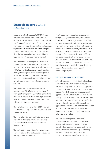expected to suffer losses due to COVID-19 from business interruption claims. Faraday aims to process all valid claims in a timely fashion and being mindful of the financial impact of COVID-19 we have been proactive in applying our professional approach to pandemic related matters. We continue to grow the direct and facultative areas of this business, given the current profitability levels, and further opportunities in the class are being explored.

The actions taken over the past couple of years to strengthen the pricing and reserving of the US Casualty business have shown to be adequate during 2020. Rates for this business are also increasing although this is against a backdrop of heightened claims costs. Workers' Compensation business continues to perform well and has not been subject to the increased trends seen in the other areas of this book.

The Aviation market has seen on-going rate increases since 2018 following several years of overcapacity and poor rating. The book generated a small loss in 2020 following several large losses and reduced volumes due to the dramatic reduction in flying in 2020 due to the pandemic.

The EL/PL book was profitable in 2020, benefitting from re-underwriting of the book implemented over the past few years.

The International Casualty and Motor books were profitable in the year due to favourable claims run-off. We have withdrawn from some direct Motor contracts.

The Accident & Health and the Agriculture teams, new to Faraday in 2019 and 2020 respectively, are building up portfolios of business.

Over the past few years action has been taken to improve and, where necessary, limit areas of the business not delivering to target. This is now evidenced in improved results which, coupled with a generally improving rate environment, means we are able to underwrite profitably in all areas whilst growing into new lines. Decisive action was taken to mitigate future systemic risk from COVID-19 and future pandemics. This has resulted in some lost business in EL/PL and Accident & Health parts of the book. Faraday continues to optimise the portfolio to those areas which are now delivering excess returns whilst maintaining strict underwriting discipline.

# **Principal risks and uncertainties**

A formal risk strategy and set of risk policies have been put in place, which are consistent with our business strategy. The risk policies are supported by a series of risk appetites which set out our overall appetite for risk. The business strategy and risk appetites are subject to frequent review to ensure Faraday is able to respond to any changes in market conditions. The board retains responsibility for the design of the risk management framework and approval of the risk appetites. It has delegated other aspects of risk management to the Risk & Capital Committee and the Audit & Risk Committee; the latter reports to the board.

The Executive Management Committee is responsible for the execution of the business strategy and manages the business from an operational perspective. It is supported by formal groups responsible for day-to-day underwriting, investment review, overseeing the larger transactions, management of the syndicate's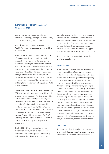counterparty exposures, data analytics and information technology; these groups report directly to the Executive Management Committee.

The Risk & Capital Committee, reporting to the Audit & Risk Committee, oversees the risk profile of the syndicate.

The Audit & Risk Committee is composed entirely of non-executive directors; this body provides independent oversight and challenge to the way in which risk is managed, monitored and reported within the syndicate. It considers any changes to risk appetite ensuring consistency with the syndicate's risk strategy. In addition, this Committee reviews, amongst other matters, the risk management framework, the operation of the internal model and the internal control system. The Risk Management and Compliance functions provide input to the Audit & Risk Committee.

From an operational perspective, the Chief Executive Officer is responsible for strategic risk, risk related to personnel and group risk. The Chief Underwriting Officer monitors underwriting risk, including the oversight of catastrophe exposures and reinsurance protections. The Head of Claims is responsible for claims management and the Chief Actuary, in conjunction with the Finance Director, is responsible for reserve risk. The Finance Director manages all aspects of market risk and credit risk. The Chief Operating Officer is responsible for the oversight of operational risks, as they relate to processes and systems.

The Chief Risk Officer is responsible for risk management and regulatory compliance. Risk and control owners are responsible for assessing and managing the risks for which they are held

accountable using a series of key performance and key risk indicators. The former are reported at the Executive Management Committee and the latter are the responsibility of the Risk & Capital Committee. Where an indicator triggers pre-set criteria, an escalation to the board is implemented to support effective management of the syndicate's risk profile.

The principal risks and uncertainties facing the syndicate are as follows:

## **Insurance risk**

There are three different elements to insurance risk, being the risk of losses from catastrophe events (catastrophe risk), the risk that business will prove to be inadequately priced given the coverage being provided (premium risk), and the risk that claims reserves prove to be insufficient (reserve risk). The board manages insurance risk by agreeing its underwriting appetite at least annually. This includes catastrophe appetites, combined ratio targets and line size guidelines. Underwriting performance is monitored against the business plan throughout the year by the Executive Management Committee. Licensed catastrophe models are used to model maximum probable losses from natural catastrophe exposed business for significant perils in key areas and to monitor exposures against pre-determined appetites. Reserve adequacy is monitored through a regular review of loss development and reserving analyses carried out by the Actuarial department.

# **Credit risk**

This represents the risk of default by one or more of the syndicate's counterparties, be they brokers, coverholders or reinsurers. The risk of default by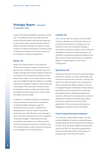issuers of investment holdings is captured in market risk. The syndicate conducts business only with brokers and coverholders that have been approved by the security group, which reviews the financial position and other information in respect of these entities on at least an annual basis. A similar process is followed with respect to the use of reinsurers on the syndicate's reinsurance programmes.

# **Market risk**

Market risk relates primarily to the exposures faced by the syndicate in respect of movements in key economic variables such as interest rates and foreign exchange rates and their potential impact on the valuation of the investment portfolio and other balance sheet items, such as claims reserves. These risks are managed through the adoption of a prudent investment strategy with respect to the duration and credit quality of the investment portfolio, as well as through the regular re-balancing of the foreign exchange position and exposures to match closely the liability currency profile.

In relation to investment holdings, the investment group recommends to the board the syndicate's investment strategy, having due regard to investment results, economic conditions and developments in financial markets. Benchmarks are set each year with reference to this strategy in order to monitor the performance of the syndicate's investment managers. Credit quality and asset concentration parameters are set which properly control the syndicate's exposure to investment risk. The syndicate makes no use of financial derivatives in the management of its risk exposures.

# **Liquidity risk**

This is the risk that the syndicate will not be able to meet its liabilities as they fall due, because of a shortfall of liquid assets. To mitigate this risk, the level of short-term investment holdings is monitored by the Finance Director and the Executive Management and Risk & Capital Committees. The syndicate's conservative investment guidelines also help to ensure that its portfolio has the necessary liquidity to respond quickly to short-term funding needs.

## **Operational risk**

Operational risk arises from errors caused by people, processes or systems, to include cyber issues, that could lead to losses to the syndicate. It includes the impact from external bodies, such as outsourced service providers and related companies. This risk is managed through a combination of robust service level agreements with external service providers, the implementation of detailed procedures and controls in all areas of its business and a structured programme of testing of processes and systems by the Risk, Compliance and Internal Audit departments. This is overseen by the Executive Management and Risk & Capital Committees.

## **Financial key performance indicators**

The syndicate's underwriting strategy is focused on the profitability of business, a key performance indicator being the level of absolute profit achieved. In 2020, which saw several significant catastrophe events and COVID-19, the syndicate generated a profit of £49,930,000 (2019: £23,834,000) at a combined ratio of 93.7% (2019: 99.8%).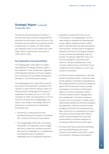The other key financial performance indicator is the investment return achieved compared with the benchmark set by the board. Given the nature of the syndicate's business, 68% of its investment portfolio is denominated in US dollars. The 2020 calendar year investment return on this portfolio was 2.54% (2019: 3.60%), compared with a benchmark of 2.58% (2019: 3.55%).

## **Key stakeholders and responsibilities**

The managing agent is fully aware of on-going responsibilities. Accordingly, attention is given to key stakeholders. These include clients, regulators, staff employed by the group, third party suppliers, local communities, the environment and Berkshire Hathaway Inc. the ultimate parent company.

The managing agent acts in good faith to promote the success of the syndicate for the benefit of the member as a whole. Decision making is made in an informed manner, having regard to the impact on stakeholders and matters set out in s.172 of the Companies Act 2006. The requirements of s.172 are not new to the board of the managing agent, the impact of any change in the strategic direction of the business is considered for all stakeholders. Of particular note:

- The directors, in making decisions have considered the long-term prospects of Syndicate 435. A review of the business is given above.
- The managing agent takes pride in all business relationships. The organisation looks to engage with clients, outsourcers, professional advisers, staff and other stakeholders in a straightforward and professional manner. Treating all stakeholders fairly is of paramount importance.
- Employees are fundamental to the success of the business. The managing agent strives to make Faraday an enjoyable and rewarding place to work. Regular meetings are held to update staff on the performance and operational aspects of the syndicate. The open style of management adopted by the directors encourages employees to raise any issues and appropriate steps can be taken. The directors regard this style as one of the core strengths; it assists with staff retention. Training and development of staff is another important factor of the board's focus; a skilled and content workforce is crucial to the success of the business.
- The directors monitor developments in the wider business and financial arenas. In particular these include regulatory requirements and guidelines as well as legal frameworks and Risk and Compliance aspects of the (re)insurance industry. Faraday would adapt to any revisions to these having regard to our diverse stakeholders. Market conditions underpin the ever-changing needs of key stakeholders. The directors endeavour to react to the circumstances in a timely manner. High business standards are promoted throughout the organisation. The board revisits the overall strategy at a formal off-site meeting each year. Work continues on an on-going basis to increase the quality of business being underwritten to achieve overall profitability and a long-term beneficial effect for Berkshire Hathaway Inc. As necessary, difficult decisions will be taken.
- The robust client focus assists with maintaining and improving relationships with clients, outsourcers and suppliers. Every effort is made by the directors, following recommendations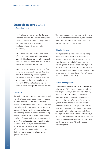from the Underwriters, to meet the changing needs of our customers. Products are regularly reviewed to ensure they meet the requirements and are acceptable to all parties in the distribution chain; revisions are made as necessary.

- The directors value market perception. Every effort is made to meet the wide range of financial responsibilities. Payment terms will be met and enquiries are always made where service levels are queried by any of the stakeholders.
- Finally, the managing agent is conscious of its environmental and social responsibilities. Care is taken to minimise any adverse impact the business might have on the wider environment. With working from home in operation since mid-March 2020 there has been a significant reduction in the use of general office consumables.

## **COVID-19**

The world is currently experiencing a pandemic with a negative impact on the global economy including insurance markets. The directors continue to consider the impact of COVID-19 on the syndicate's financial strength, taking into account a number of factors including the ability to access and transact business being mindful of our robust underwriting criteria. Additionally, the directors are monitoring the effect of remote working on the syndicate and Faraday's overall operation and interactions with its stakeholders. The organisation has adapted well to the changes and staff are operating efficiently. Management maintains contact with staff with regular updates on all business and operational matters.

The managing agent has concluded that Syndicate 435 continues to operate effectively and does not anticipate any change to the ability to continue operating on a going concern basis.

# **Climate change**

The impact on the business from climate change continues to be assessed; all relevant data is considered and action taken as appropriate. The managing agent is mindful of its corporate and social responsibilities in the global market place in which the syndicate is active. Specific resource has been dedicated to evaluating climate change with an on-going review of the risk factors from a financial and an operational perspective.

## **Future developments**

Rate increases are being seen across various lines of business in 2021. There are on-going challenges with surplus capacity in particular areas. Faraday continues to work with Lloyd's to ensure we are positioned for long term success as well as supporting the Lloyd's franchise. The managing agent remains mindful that Faraday's primary platform continues to be the syndicate. However, in certain circumstances this may not be suitable and Faraday MGA Limited, our second platform, would provide a means to accommodate Faraday's clients' needs. Our MGA binds business on behalf of Berkshire Hathaway International Insurance Limited and General Reinsurance AG, both are related group companies.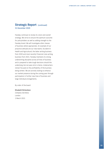Faraday continues to review its vision and overall strategy. We strive to ensure the optimum outcome for policyholders as well as adding strength to the Faraday brand. We will investigate other classes of business where appropriate. An example of our proactive attitude are our new teams: Accident & Health and Agricultural, the latter writing business from 2020 and most recently Financial Lines writing business from 2021. Faraday maintains its strong underwriting discipline across all lines of business and is prepared to take tough decisions should the underlying risk not pass strict criteria. Underwriters remain focused on the profitability of the business being written. We are actively looking to enhance our market presence during the coming year through participation in further new lines of business and large individual arrangements.

By order of the board

# Elisabeth Richardson

*Company Secretary* London 2 March 2021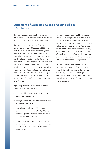# **Statement of Managing Agent's responsibilities**

31 December 2020

The managing agent is responsible for preparing the annual report and the syndicate financial statements in accordance with applicable law and regulations.

The Insurance Accounts Directive (Lloyd's syndicate and Aggregate Accounts) Regulations 2008 ('the 2008 Regulations') require the managing agent to prepare syndicate financial statements for each financial year. Under that law the managing agent has elected to prepare the financial statements in accordance with United Kingdom Generally Accepted Accounting Practice (United Kingdom Accounting Standards and applicable law). Under company law the managing agent must not approve the financial statements unless they are satisfied that they give a true and fair view of the state of affairs of the syndicate and of the profit or loss of the syndicate for that period.

In preparing these syndicate financial statements, the managing agent is required to:

- (a) select suitable accounting policies and then apply them consistently;
- (b) make judgments and accounting estimates that are reasonable and prudent;
- (c) state whether applicable UK Accounting Standards have been followed, subject to any material departures disclosed and explained in the financial statements; and
- (d) prepare the syndicate financial statements on the going concern basis unless it is inappropriate to presume that the syndicate will continue to write business.

The managing agent is responsible for keeping adequate accounting records that are sufficient to show and explain the syndicate's transactions and disclose with reasonable accuracy at any time the financial position of the syndicate and enable it to ensure that the financial statements comply with 2008 Regulations. It is also responsible for safeguarding the assets of the syndicate and hence for taking reasonable steps for the prevention and detection of fraud and other irregularities.

The managing agent is responsible for the maintenance and integrity of the corporate and financial information included on the business' website. Legislation in the United Kingdom governing the preparation and dissemination of financial statements may differ from legislation in other jurisdictions.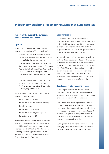# **Independent Auditor's Report to the Member of Syndicate 435**

# **Report on the audit of the syndicate annual financial statements**

## **Opinion**

In our opinion the syndicate annual financial statements of Syndicate 435 (the 'syndicate'):

- give a true and fair view of the state of the syndicate's affairs as at 31 December 2020 and of its profit for the year then ended;
- have been properly prepared in accordance with United Kingdom Generally Accepted Accounting Practice, including Financial Reporting Standard 102 "The Financial Reporting Standard applicable in the UK and Republic of Ireland"; and
- have been prepared in accordance with the requirements of The Insurance Accounts Directive (Lloyd's Syndicate and Aggregate Accounts) Regulations 2008.

We have audited the syndicate annual financial statements which comprise:

- the Profit and Loss Account:
- the Statement of Comprehensive Income;
- the Balance Sheet:
- the Statement of Cash Flows:
- the Statement of Changes in Equity and;
- the related notes 1 to 20.

The financial reporting framework that has been applied in their preparation is applicable law and United Kingdom Accounting Standards, including Financial Reporting Standard 102 "The Financial Reporting Standard applicable in the UK and Republic of Ireland" (United Kingdom Generally Accepted Accounting Practice).

# **Basis for opinion**

We conducted our audit in accordance with International Standards on Auditing (UK) (ISAs (UK)) and applicable law. Our responsibilities under those standards are further described in the auditor's responsibilities for the audit of the syndicate annual financial statements section of our report.

We are independent of the syndicate in accordance with the ethical requirements that are relevant to our audit of the syndicate annual financial statements in the UK, including the Financial Reporting Council's (the 'FRC's') Ethical Standard, and we have fulfilled our other ethical responsibilities in accordance with these requirements. We believe that the audit evidence we have obtained is sufficient and appropriate to provide a basis for our opinion.

## **Conclusions relating to going concern**

In auditing the financial statements, we have concluded that the managing agent's use of the going concern basis of accounting in the preparation of the financial statements is appropriate.

Based on the work we have performed, we have not identified any material uncertainties relating to events or conditions that, individually or collectively, may cast significant doubt on the syndicate's ability to continue in operations for a period of at least twelve months from when the syndicate financial statements are authorised for issue.

Our responsibilities and the responsibilities of the managing agent with respect to going concern are described in the relevant sections of this report.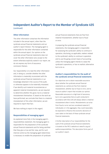# **Independent Auditor's Report to the Member of Syndicate 435** (continued)

# **Other information**

The other information comprises the information included in the annual report, other than the syndicate annual financial statements and our auditor's report thereon. The managing agent is responsible for the other information contained within the annual report. Our opinion on the syndicate annual financial statements does not cover the other information and, except to the extent otherwise explicitly stated in our report, we do not express any form of assurance conclusion thereon.

Our responsibility is to read the other information and, in doing so, consider whether the other information is materially inconsistent with the syndicate annual financial statements or our knowledge obtained in the course of the audit, or otherwise appears to be materially misstated. If we identify such material inconsistencies or apparent material misstatements, we are required to determine whether this gives rise to a material misstatement themselves. If, based on the work we have performed, we conclude that there is a material misstatement of this other information, we are required to report that fact.

We have nothing to report in this regard.

# **Responsibilities of managing agent**

As explained more fully in the managing agent's responsibilities statement, the managing agent is responsible for the preparation of the syndicate annual financial statements and for being satisfied that they give a true and fair view, and for such internal control as the managing agent determines is necessary to enable the preparation of syndicate

annual financial statements that are free from material misstatement, whether due to fraud or error.

In preparing the syndicate annual financial statements, the managing agent is responsible for assessing the syndicate's ability to continue in operation, disclosing, as applicable, matters related to the syndicate's ability to continue in operation and to use the going concern basis of accounting unless the managing agent intends to cease the syndicate's operations, or has no realistic alternative but to do so.

# **Auditor's responsibilities for the audit of the syndicate annual financial statements**

Our objectives are to obtain reasonable assurance about whether the syndicate annual financial statements as a whole are free from material misstatement, whether due to fraud or error, and to issue an auditor's report that includes our opinion. Reasonable assurance is a high level of assurance, but is not a guarantee that an audit conducted in accordance with ISAs (UK) will always detect a material misstatement when it exists. Misstatements can arise from fraud or error and are considered material if, individually or in the aggregate, they could reasonably be expected to influence the economic decisions of users taken on the basis of these syndicate annual financial statements.

A further description of our responsibilities for the audit of the syndicate annual financial statements is located on the FRC's website at: www.frc.org.uk/ auditorsresponsibilities. This description forms part of our auditor's report.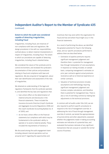# **Independent Auditor's Report to the Member of Syndicate 435** (continued)

# **Extent to which the audit was considered capable of detecting irregularities, including fraud**

Irregularities, including fraud, are instances of non-compliance with laws and regulations. We design procedures in line with our responsibilities, outlined above, to detect material misstatements in respect of irregularities, including fraud. The extent to which our procedures are capable of detecting irregularities, including fraud is detailed below.

We considered the nature of the syndicate and its control environment, and reviewed the syndicate's documentation of their policies and procedures relating to fraud and compliance with laws and regulations. We also enquired of management, about their own identification and assessment of the risks of irregularities.

We obtained an understanding of the legal and regulatory frameworks that the syndicate operates in, and identified the key laws and regulations that:

- had a direct effect on the determination of material amounts and disclosures in the financial statements. These included the Insurance Accounts Directive (Lloyd's Syndicate and Aggregate Accounts) Regulations 2008 and the Lloyd's Syndicate Accounting Byelaw (no. 8 of 2005); and
- do not have a direct effect on the financial statements but compliance with which may be fundamental to the syndicate's ability to operate or to avoid a material penalty. These included the requirements of Solvency II.

We discussed among the audit engagement team including relevant internal specialists such as actuarial and IT regarding the opportunities and

incentives that may exist within the organisation for fraud and how and where fraud might occur in the financial statements.

As a result of performing the above, we identified the greatest potential for fraud in the following areas, and our specific procedures performed to address them are described below:

- Estimation of pipeline premiums requires significant management judgement and therefore there is potential for management bias through manipulation of core assumptions. In response our testing included, on sample basis, comparing management's estimates on prior year contracts against actual premiums received as well as to historical experience on similar contracts.
- Valuation of technical provisions includes assumptions and methodology requiring significant management judgement and involves complex calculations, and therefore there is potential for management bias. There is also a risk of overriding controls by making late adjustments to the technical provisions.

In common with all audits under ISAs (UK), we are also required to perform specific procedures to respond to the risk of management override. In addressing the risk of fraud through management override of controls, we tested the appropriateness of journal entries and other adjustments; assessed whether the judgements made in making accounting estimates are indicative of a potential bias; and evaluated the business rationale of any significant transactions that are unusual or outside the normal course of business.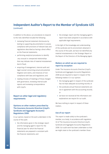# **Independent Auditor's Report to the Member of Syndicate 435** (continued)

In addition to the above, our procedures to respond to the risks identified included the following:

- reviewing financial statement disclosures by testing to supporting documentation to assess compliance with provisions of relevant laws and regulations described as having a direct effect on the financial statements;
- performing analytical procedures to identify any unusual or unexpected relationships that may indicate risks of material misstatement due to fraud;
- enquiring of management, internal audit and legal counsel concerning actual and potential litigation and claims, and instances of non compliance with laws and regulations; and
- reading minutes of meetings of those charged with governance, reviewing internal audit reports and reviewing correspondence with Lloyd's.

# **Report on other legal and regulatory requirements**

# **Opinions on other matters prescribed by The Insurance Accounts Directive (Lloyd's Syndicate and Aggregate Accounts) Regulations 2008**

In our opinion, based on the work undertaken in the course of the audit:

• the information given in the strategic report and the managing agent's report for the financial year for which the financial statements are prepared is consistent with the financial statements; and

• the strategic report and the managing agent's report have been prepared in accordance with applicable legal requirements.

In the light of the knowledge and understanding of the syndicate and its environment obtained in the course of the audit, we have not identified any material misstatements in the Strategic Report or the Report of the Directors of the Managing Agent.

# **Matters on which we are required to report by exception**

Under The Insurance Accounts Directive (Lloyd's Syndicate and Aggregate Accounts) Regulations 2008 we are required to report in respect of the following matters if, in our opinion:

- the managing agent in respect of the syndicate has not kept adequate accounting records; or
- the syndicate annual financial statements are not in agreement with the accounting records; or
- we have not received all the information and explanations we require for our audit.

We have nothing to report in respect of these matters.

# **Use of our report**

This report is made solely to the syndicate's member, as a body, in accordance with regulation 10 of The Insurance Accounts Directive (Lloyd's Syndicate and Aggregate Accounts) Regulations 2008. Our audit work has been undertaken so that we might state to the syndicate's member those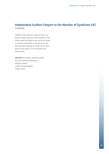# **Independent Auditor's Report to the Member of Syndicate 435** (continued)

matters we are required to state to them in an auditor's report and for no other purpose. To the fullest extent permitted by law, we do not accept or assume responsibility to anyone other than the syndicate's member as a body, for our audit work, for this report, or for the opinions we have formed.

Adam Ely FCA *(Senior statutory auditor) For and on behalf of Deloitte LLP Statutory Auditor* London, United Kingdom 2 March 2021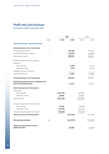# **Profit and Loss Account**

for the year ended 31 December 2020

|                                                                           |      |           | 2020       |            | 2019       |
|---------------------------------------------------------------------------|------|-----------|------------|------------|------------|
|                                                                           | Note | £'000     | £'000      | £'000      | £'000      |
| <b>Technical account - general business</b>                               |      |           |            |            |            |
| Earned premiums, net of reinsurance                                       |      |           |            |            |            |
| Gross premiums written                                                    | 4    |           | 404,358    |            | 447,821    |
| Outward reinsurance premiums                                              |      |           | (49, 347)  |            | (43,518)   |
| Net premiums written                                                      |      |           | 355,011    |            | 404,303    |
| Change in the provision for unearned<br>premiums                          |      |           |            |            |            |
| Gross amount                                                              |      |           | 3,808      |            | (4, 417)   |
| Reinsurers' share                                                         |      |           | (272)      |            | (1,183)    |
| Change in the net provision for                                           |      |           |            |            |            |
| unearned premiums                                                         |      |           | 3,536      |            | (5,600)    |
| Earned premiums, net of reinsurance                                       |      |           | 358,547    |            | 398,703    |
| Allocated investment return transferred from<br>the non-technical account |      |           | 24,221     |            | 25,310     |
| Claims incurred, net of reinsurance                                       |      |           |            |            |            |
| Claims paid                                                               |      |           |            |            |            |
| Gross amount                                                              |      | (229,753) |            | (240, 893) |            |
| Reinsurers' share                                                         |      | 28,598    |            | 38,587     |            |
| Net claims paid                                                           |      | (201,155) |            | (202, 306) |            |
| Change in the provision for the claims                                    |      |           |            |            |            |
| Gross amount                                                              |      | 17,348    |            | (51,688)   |            |
| Reinsurers' share                                                         |      | (37, 293) |            | (21, 240)  |            |
| Change in the provision for the claims                                    |      | (19, 945) |            | (72, 928)  |            |
| Claims incurred, net of reinsurance                                       |      |           | (221, 100) |            | (275, 234) |
| <b>Net operating expenses</b>                                             | 4.6  |           | (114, 971) |            | (122,580)  |
| <b>Balance on the technical account -</b><br>general business             |      |           | 46,697     |            | 26,199     |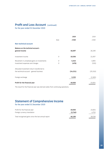# **Profit and Loss Account** (continued)

for the year ended 31 December 2020

|                                                                                        |      | 2020      | 2019      |
|----------------------------------------------------------------------------------------|------|-----------|-----------|
|                                                                                        | Note | £'000     | £'000     |
| <b>Non-technical account</b>                                                           |      |           |           |
| <b>Balance on the technical account -</b><br>general income                            |      | 46,697    | 26,199    |
| Investment income                                                                      | 9    | 19,356    | 21,937    |
| Movement in unrealised gains on investments                                            | 9    | 5,343     | 3,893     |
| Investment expenses and charges                                                        | 9    | (478)     | (520)     |
| Allocated investment return transferred to<br>the technical account - general business |      | (24, 221) | (25, 310) |
| Foreign exchange                                                                       |      | 3,233     | (2,365)   |
| Profit for the financial year                                                          |      | 49,930    | 23,834    |

The result for the financial year was derived solely from continuing operations.

# **Statement of Comprehensive Income**

for the year ended 31 December 2020

| Profit for the financial year                       | 49,930  | 23.834 |
|-----------------------------------------------------|---------|--------|
| Foreign currency translation                        | (3.740) | 4.702  |
| Total recognised gains since the last annual report | 46,190  | 28.536 |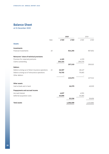# **Balance Sheet**

at 31 December 2020

|                                                    |      |         | 2020      |         | 2019      |
|----------------------------------------------------|------|---------|-----------|---------|-----------|
|                                                    | Note | £'000   | £'000     | £'000   | £'000     |
| <b>Assets</b>                                      |      |         |           |         |           |
| Investments                                        |      |         |           |         |           |
| Financial investments                              | 10   |         | 924,293   |         | 907,852   |
| Reinsurers' share of technical provisions          |      |         |           |         |           |
| Provision for unearned premiums                    |      | 4,165   |           | 4,339   |           |
| Claims outstanding                                 |      | 253,154 |           | 295,576 |           |
|                                                    |      |         | 257,319   |         | 299,915   |
| <b>Debtors</b>                                     |      |         |           |         |           |
| Debtors arising out of direct insurance operations | 11   | 46,367  |           | 48,447  |           |
| Debtors arising out of reinsurance operations      |      | 76,705  |           | 79,065  |           |
| Other debtors                                      |      |         |           |         |           |
|                                                    |      |         | 123,072   |         | 127,512   |
| Other assets                                       |      |         |           |         |           |
| Cash at bank and in hand                           |      |         | 16,379    |         | 49,929    |
| <b>Prepayments and accrued income</b>              |      |         |           |         |           |
| Accrued interest                                   |      | 4,637   |           | 4,591   |           |
| Deferred acquisition costs                         |      | 30,899  |           | 35,065  |           |
|                                                    |      |         | 35,536    |         | 39,656    |
| <b>Total assets</b>                                |      |         | 1,356,599 |         | 1,424,864 |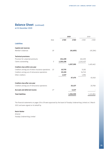# **Balance Sheet** (continued)

at 31 December 2020

|                                                      | 2020 |           |           |           | 2019      |
|------------------------------------------------------|------|-----------|-----------|-----------|-----------|
|                                                      | Note | £'000     | £'000     | £'000     | £'000     |
| <b>Liabilities</b>                                   |      |           |           |           |           |
| <b>Capital and reserves</b>                          |      |           |           |           |           |
| Member's balances                                    | 19   |           | (61, 655) |           | (45, 284) |
| <b>Technical provisions</b>                          |      |           |           |           |           |
| Provision for unearned premiums                      |      | 154,199   |           | 161,035   |           |
| Claims outstanding                                   | 5    | 1,203,196 |           | 1,242,427 |           |
|                                                      |      |           | 1,357,395 |           | 1,403,462 |
| Creditors due within one year                        |      |           |           |           |           |
| Creditors arising out of direct insurance operations | 13   | 10,735    |           | 9,181     |           |
| Creditors arising out of reinsurance operations      |      | 25,193    |           | 34,743    |           |
| Other creditors                                      |      | 1,547     |           | 1,994     |           |
|                                                      |      |           | 37,475    |           | 45,918    |
| Creditors due after one year                         |      |           |           |           |           |
| Creditors arising out of reinsurance operations      |      |           | 20,137    |           | 20,768    |
| <b>Accruals and deferred income</b>                  | 17   |           | 3,247     |           |           |
| <b>Total liabilities</b>                             |      |           | 1,356,599 |           | 1,424,864 |

The financial statements on pages 18 to 39 were approved by the board of Faraday Underwriting Limited on 2 March 2021 and were signed on its behalf by

# **Kevin Harker**

*Director Faraday Underwriting Limited*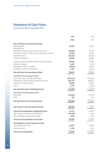# **Statement of Cash Flows**

for the year ended 31 December 2020

|                                                                                  | 2020                | 2019               |
|----------------------------------------------------------------------------------|---------------------|--------------------|
|                                                                                  | £'000               | £'000              |
| Net cash flows from operating activities                                         |                     |                    |
| Operating profit                                                                 | 49,930              | 23,834             |
| Adjustment for:                                                                  |                     |                    |
| (Decrease)/increase in gross technical provisions                                | (46,067)            | 29,378             |
| Decrease in reinsurers' share of gross technical provisions<br>Investment return | 42,596              | 27,766             |
| Foreign exchange loss                                                            | (24, 221)<br>14,701 | (25,310)<br>11,961 |
|                                                                                  |                     |                    |
| Operating cash flow before movement in working capital                           | 36,939              | 67,629             |
| Decrease in debtors                                                              | 4,440               | 4,223              |
| (Decrease)/increase in creditors                                                 | (9,074)             | 32,059             |
| Movement in other assets/liabilities                                             | 7,367               | (4,581)            |
| Net cash flows from operating activities                                         | 39,672              | 99,330             |
| Cash flows from investing activities                                             |                     |                    |
| Purchase of equity and debt instruments                                          | (377, 411)          | (702,003)          |
| Proceeds from sale of equity and debt instruments                                | 344,275             | 660,665            |
| Investment income received                                                       | 19,356              | 21,937             |
| Other                                                                            | 1,375               | (5, 357)           |
| Net cash flows used in investing activities                                      | (12, 405)           | (24,758)           |
| Cash flows from financing activities                                             |                     |                    |
| Distribution                                                                     | (62, 691)           | (71, 715)          |
| Other                                                                            | 130                 | 213                |
| Net cash flows from financing activities                                         | (62, 561)           | (71, 502)          |
|                                                                                  |                     |                    |
| Net increase in cash and cash equivalents                                        | (35, 294)           | 3,070              |
| Cash and cash equivalents at beginning of year                                   | 51,773              | 49,376             |
| Net increase in cash and cash equivalents                                        | (35, 294)           | 3,070              |
| Effect of foreign exchange rate changes                                          | 1.646               | (673)              |
| Cash and cash equivalents at end of year                                         | 18,125              | 51,773             |
| Reconciliation to cash at bank and in hand                                       |                     |                    |
| Cash at bank and in hand                                                         | 16,379              | 49,929             |
| Cash equivalents                                                                 | 1,746               | 1,844              |
| <b>Cash and cash equivalents</b>                                                 | 18,125              | 51,773             |
|                                                                                  |                     |                    |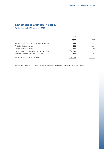# **Statement of Changes in Equity**

for the year ended 31 December 2020

|                                                 | 2020      | 2019      |
|-------------------------------------------------|-----------|-----------|
|                                                 | £'000     | £'000     |
| Member's balances brought forward at 1 January  | (45, 284) | 288       |
| Profit for the financial year                   | 49,930    | 23,834    |
| Foreign currency translation                    | (3,740)   | 2.096     |
| Payment of profit to member's personal reserves | (62, 691) | (71, 715) |
| Increase in member's non-cash balances          | 130       | 213       |
| Member's balances carried forward               | (61, 655) | (45,284)  |

The member participates on the syndicate by reference to years of account and their ultimate result.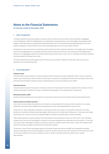# **Notes to the Financial Statements**

for the year ended 31 December 2020

#### *1* **Basis of preparation**

The financial statements have been prepared in accordance with the Insurance Accounts Directive (Lloyd's Syndicate and Aggregate Accounts) Regulations 2008 ('the 2008 Regulations') and applicable Accounting Standards in the United Kingdom and applicable United Kingdom Accounting Standards, including Financial Reporting Standard 102: The Financial Reporting Standard applicable in the United Kingdom and Republic of Ireland ('FRS102') and Financial Reporting Standard 103: Insurance Contracts ('FRS103').

Having taken into account the risks and uncertainties and the performance of the syndicate as disclosed in the strategic report and making inquiries, the managing agent has a reasonable expectation that the syndicate will continue to write business for the foreseeable future. Moreover, the managing agent expects that continued capital support will be in place in order to do so. Accordingly, the financial statements have been prepared on the going concern basis.

The financial statements have been prepared under the historical cost convention, modified to include certain items at fair value as specified in the accounting polices below.

#### *2* **Accounting policies**

#### **Premiums written**

Premiums written comprise premiums on policies incepted during the financial year as well as adjustments made in the year to premiums written in prior financial years. Premiums written are shown gross of acquisition costs payable and exclude taxes and duties levied on them. Premiums include estimates for pipeline premiums, representing amounts due to the syndicate not yet notified.

#### **Unearned premiums**

Unearned premiums represent the proportion of premiums written in the financial year that relate to unexpired terms of policies in force at the balance sheet date, calculated on the basis of established earnings patterns or time apportionment as appropriate.

#### **Reinsurance premium ceded**

Outwards reinsurance premiums are accounted for in the same year as the premiums for the related inwards business being reinsured.

#### **Claims provisions and related recoveries**

Gross claims incurred comprise the estimated cost of all claims occurring during the financial year, whether reported or not, including related direct and indirect claims handling costs and adjustments to claims outstanding established in previous years.

The provision for claims outstanding is assessed on an individual case basis and is based on the estimated ultimate cost of all claims notified but not settled by the balance sheet date, together with the provision for related claims handling costs. The provision also includes the estimated cost of claims incurred but not reported ('IBNR') at the balance sheet date based on statistical methods.

These methods generally involve the projection from past experience of the development of claims over time to form a view of the likely ultimate claims to be incurred, having regard to variations in the business accepted and the underlying terms and conditions. For the most recent years, where a high degree of volatility can arise from projections, estimates may be based in part on output from rating and other models of the business accepted and assessments of underwriting conditions.

The reinsurers' share of claims outstanding is based on the amounts of gross case reserves and IBNR, net of estimated irrecoverable amounts, having regard to the reinsurance programme in place for the class of business, the claims experience for the financial year and the current security rating of the reinsurance companies involved. A number of statistical methods are used to assist in making these estimates.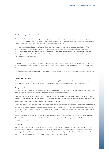#### *2* **Accounting policies** (continued)

The two most critical assumptions with regard to claims provisions are firstly that the past is, in general terms, a reasonable predictor of the likely level of claims development but subject always to unpredictable changes and secondly that the rating and other models used for current business are fair reflections of the likely level of ultimate claims to be incurred.

The directors consider that the provisions for gross claims and related reinsurance recoveries are fairly stated on the basis of the information currently available to them. However, the ultimate liability will vary as a result of subsequent information and events and this may result in significant adjustments to the amounts provided. Adjustments to the amounts of claims provisions established in prior financial years are reflected in the financial statements for the period in which the adjustments are made. The methods used, and the estimates made, are reviewed regularly.

#### **Unexpired risks provision**

A provision for unexpired risks is made where anticipated claims and related expenses arising after the end of the financial year in respect of contracts concluded before that date, are expected to exceed the unearned premiums under these contracts, after the deduction of any deferred acquisition costs.

The provision for unexpired risks is calculated by reference to classes of business which are managed together, after taking into account the relevant investment return.

#### **Deferred acquisition costs**

Acquisition costs, comprising commission and other costs related to the acquisition of insurance and reinsurance policies as well as reinsurance polices ceded, are deferred to the extent that they are attributable to premiums unearned at the balance sheet date.

#### **Foreign currencies**

The syndicate's functional currency is considered to be US dollar (USD) because that is the currency of the primary economic environment in which the syndicate operates. The syndicate's chosen presentational currency is sterling (GBP).

Underwriting transactions denominated in currencies other than USD, GBP or Canadian dollars (CAD) are predominantly converted to GBP at the rate of exchange ruling at the date the transaction is processed. Thereafter, GBP and CAD transactions are converted to the functional currency using the USD exchange rates prevailing at the respective month end.

Under FRS 102 and FRS 103, monetary assets and liabilities (which include unearned premiums and deferred acquisition costs) denominated in foreign currencies are retranslated into the functional currency at the exchange rate ruling on the reporting date. Non-monetary items denominated in foreign currencies, measured at fair value, are translated into the functional currency using the exchange rate ruling at the date when the fair value was determined.

Exchange differences arising from translation to functional currency are recorded in the Profit and Loss Account, non-technical account. Exchange differences arising from translation from functional currency to presentational currency are shown in the Statement of Comprehensive Income.

#### **Investments**

Investments are stated at current value at the balance sheet date. For this purpose, listed investments are stated at market value and deposits with credit institutions and overseas deposits are stated at cost. Unlisted investments for which a market exists are stated at the average price at which they are traded on the balance sheet date or the last trading day before that date. Unlisted investments for which a market does not exist, where the investment is held to maturity, are stated at cost.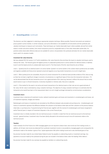#### *2* **Accounting policies** (continued)

The directors use their judgement in selecting an appropriate valuation technique. Where possible, financial instruments are marked at prices quoted in active markets. In certain instances, such price information is not available for all instruments and the syndicate uses valuation techniques to measure such instruments. These techniques use 'market observable inputs' where available, derived from similar assets in similar and active markets, from recent transaction prices for comparable items or from other observable market data. For positions where observable reference data are not available for some or all parameters the syndicate estimates the non-market observable inputs used in its valuation models.

#### **Investment fair value hierarchy**

We have adopted FRS 102 section 11.27 which establishes a fair value hierarchy that prioritises the inputs to valuation techniques used to measure fair value. The hierarchy gives the highest priority to unadjusted quoted prices in active markets for identical assets or liabilities (Level 1) and the lowest priority to unobservable inputs (Level 3). The three levels of the fair value hierarchy are as follows:

Level 1 - Quoted prices for an identical asset in an active market. Quoted in an active market in this context means quoted prices are readily and regularly available and those prices represent actual and regularly occurring market transactions on an arm's length basis.

Level 2 - When quoted prices are unavailable, the price of a recent transaction for an identical asset provides evidence of fair value as long as there has not been a significant change in economic circumstances or a significant lapse of time since the transaction took place. If it can be demonstrated that the last transaction price is not a good estimate of fair value (e.g. because it reflects the amount that an entity would receive or pay in a forced transaction, involuntary liquidation or distress sale), that price is adjusted.

Level 3 - If the market for the asset is not active and recent transactions of an identical asset on their own are not a good estimate of fair value, the fair value is estimated by using a valuation technique. The objective of using a valuation technique is to estimate what the transaction price would have been on the measurement date in an arm's length exchange motivated by normal business considerations.

#### **Investment return**

Investment return comprises all investment income, realised investment gains and losses and movements in unrealised gains and losses, net of investment expenses, charges and interest.

Realised gains and losses on investments are calculated as the difference between sale proceeds and purchase price. Unrealised gains and losses on investments represent the difference between the valuation at the balance sheet date and their valuation at the previous balance sheet date, or purchase price, if acquired during the financial year, together with the reversal of unrealised gains and losses recognised in earlier financial years in respect of investment disposals in the current financial year.

Investment return is initially recorded in the non-technical account. A transfer is made from the non-technical account to the technical account - general business. Investment return has been wholly allocated to the technical account since all investments relate to the technical account.

#### **Taxation**

Under Schedule 19 of the Finance Act 1993 managing agents are not required to deduct basic rate income tax from trading income. In addition, all UK basic rate income tax deducted from syndicate investment income is recoverable by managing agents and consequently the distribution made to the member is gross of tax. Capital appreciation falls within trading income and is also distributed gross of tax.

No provision has been made for any United States Federal Income Tax payable on underwriting results or investment earnings. Any payments on account made by the syndicate during the year are included in the balance sheet under the heading 'Other debtors'.

No provision has been made for any overseas tax payable by members on underwriting results.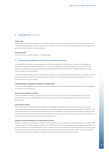#### *2* **Accounting policies** (continued)

#### **Pension costs**

Staff who provide services to the syndicate are employed by GRF Services Limited, a wholly owned subsidiary of Faraday Holdings Limited. GRF Services Limited operates a defined contribution pension scheme. Pension contributions relating to syndicate staff are charged to the syndicate and included within net operating expenses.

#### **Profit commission**

Profit commission is not being charged by the managing agent.

#### *3* **Critical accounting judgments and key sources of estimation uncertainty**

In the application of the syndicate's accounting policies, which are described in note 2, the directors are required to make judgments, estimates and assumptions about the carrying amounts of assets and liabilities that are not readily apparent from other sources. The estimates and associated assumptions are based on historical experience and other factors that are considered to be relevant. Actual results may differ from these estimates.

The estimates and underlying assumptions are reviewed on an ongoing basis. Revisions to accounting estimates are recognised in the period in which the estimate is revised if the revision affects only that period, or in the period of the revision and future periods if the revision affects both current and future periods.

#### **Critical judgements in applying the syndicate's accounting policies**

There are no critical judgements, apart from those involving estimations (which are dealt with separately below), in the process of applying the syndicate's accounting policies.

#### **Key sources of estimation uncertainty**

The key assumptions concerning the future, and other key sources of estimation uncertainty at the balance sheet date, that have a significant risk of causing a material adjustment to the carrying amounts of assets and liabilities within the next financial year, are discussed below.

#### **Gross premiums written**

Gross premiums written includes estimates for pipeline premiums together with adjustments to premiums written in prior accounting periods; these are key estimates. Gross premiums written include pipeline premiums calculated using actuarial projection techniques on the key assumption that historical development is representative of future development. In the syndicate, premiums written is initially based on the estimated premium income ('EPI') of each contract, adjusted by actuarial projection techniques where appropriate. EPI is adjusted as the year of account matures. Gross premiums written are disclosed in note 4.

#### **Valuation of assets and liabilities of non-life insurance contracts**

Estimates are made for both the expected ultimate cost of claims reported and claims IBNR at the balance sheet date. The estimate of IBNR is generally subject to a greater degree of uncertainty than that for reported claims. In calculating the estimated liability, the syndicate uses a variety of estimation techniques based upon statistical analyses of historical experience which assumes past trends can be used to project future developments. The estimation of the reinsurer's share of technical provisions, particularly IBNR, is subject to the same estimation uncertainty since its valuation is dependent on the gross estimate. Technical provisions are disclosed in note 12.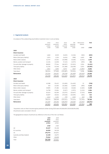# *4* **Segmental analysis**

An analysis of the underwriting result before investment return is set out below:

|                                   | Gross<br>premiums<br>written | Gross<br>premiums<br>earned | Gross<br>claims<br>incurred | Net<br>operating<br>expenses | Reinsurance<br>balance | Total     |
|-----------------------------------|------------------------------|-----------------------------|-----------------------------|------------------------------|------------------------|-----------|
|                                   | £'000                        | £'000                       | £'000                       | £'000                        | £'000                  | £'000     |
| 2020                              |                              |                             |                             |                              |                        |           |
| <b>Direct insurance</b>           |                              |                             |                             |                              |                        |           |
| Accident and Health               | 1,660                        | 8,539                       | (3,635)                     | (5, 156)                     | (583)                  | (835)     |
| Motor (third party liability)     | 2,974                        | 1,316                       | (4,616)                     | (998)                        | 4,603                  | 305       |
| Motor (other classes)             | 22,727                       | 23,354                      | (10,998)                    | (9,180)                      | (1, 541)               | 1,635     |
| Marine, aviation and transport    | 12,194                       | 12,058                      | (7, 115)                    | (3,573)                      | (876)                  | 494       |
| Fire and other damage to property | 88,082                       | 77,344                      | (66, 507)                   | (15, 923)                    | 3,934                  | (1, 152)  |
| Third party liability             | 51,536                       | 53,348                      | (51,388)                    | (18, 208)                    | 5,653                  | (10, 595) |
| Other direct                      | 2,841                        | 1,850                       | 8,572                       | (464)                        | (1,894)                | 8,064     |
| Total direct                      | 182,014                      | 177,809                     | (135,687)                   | (53,502)                     | 9,296                  | (2,084)   |
| Reinsurance                       | 222,344                      | 230,357                     | (76, 718)                   | (61, 469)                    | (67, 610)              | 24,560    |
|                                   | 404,358                      | 408,166                     | (212, 405)                  | (114, 971)                   | (58, 314)              | 22,476    |
| 2019                              |                              |                             |                             |                              |                        |           |
| <b>Direct insurance</b>           |                              |                             |                             |                              |                        |           |
| Accident and Health               | 43,388                       | 35,422                      | (21,690)                    | (14, 492)                    | 22                     | (738)     |
| Motor (third party liability)     | 450                          | 21,560                      | (10, 286)                   | (5,839)                      | (995)                  | 4,440     |
| Motor (other classes)             | 29,895                       | 27,486                      | (12, 446)                   | (9,648)                      | (2, 183)               | 3,209     |
| Marine, aviation and transport    | 14,708                       | 13,064                      | (5, 917)                    | (2,973)                      | (1,210)                | 2,964     |
| Fire and other damage to property | 65,624                       | 60,399                      | (23, 575)                   | (20, 647)                    | (7, 153)               | 9,024     |
| Third party liability             | 50,837                       | 49,016                      | (27,618)                    | (20, 595)                    | (181)                  | 622       |
| Other direct                      | 1,612                        | 1,101                       | (79)                        | (220)                        | (63)                   | 739       |
| Total direct                      | 206,514                      | 208,048                     | (101,611)                   | (74, 414)                    | (11,763)               | 20,260    |
| Reinsurance                       | 241,307                      | 235,356                     | (190, 970)                  | (48, 166)                    | (15,591)               | (19, 371) |
|                                   | 447,821                      | 443.404                     | (292, 581)                  | (122, 580)                   | (27, 354)              | 889       |

'Acquisition costs on direct insurance gross premiums written during 2020 were £45,818,000 (2019:£58,954,000). All premiums were concluded in the UK.

The geographical analysis of premiums by reference to the situs of the risk is as follows:

| 2020     | 2019     |
|----------|----------|
| Gross    | Gross    |
| premiums | premiums |
| written  | written  |
| £'000    | £'000    |
| 25,327   | 35,138   |
| 16,559   | 56,528   |
| 276,772  | 254,872  |
| 12,158   | 40,675   |
| 73,542   | 60,608   |
| 404,358  | 447,821  |
|          |          |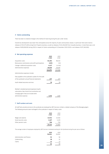#### *5* **Claims outstanding**

There has been no material change to the method of reserving during the year under review.

Overall loss development was lower than anticipated across the majority of years and business classes. In particular there were reserve releases of £53,372,000 arising from Property business, as well as releases of £32,456,000 from Casualty business. In total there was a net release of £85,828,000 during 2020 in respect of claims outstanding at 31 December 2019 (2019: a net release of £57,260,000).

#### *6* **Net operating expenses**

|                                                       | 2020<br>£'000 | 2019<br>£'000 |
|-------------------------------------------------------|---------------|---------------|
| Acquisition costs                                     | 81,264        | 98,243        |
| Reinsurance commissions and profit participations     | (435)         | (10)          |
| Change in deferred acquisition costs                  | 4,117         | (4, 140)      |
| Administrative expenses                               | 30,025        | 28,487        |
|                                                       | 114,971       | 122,580       |
| Administrative expenses include:                      |               |               |
| Fees payable to the syndicate's auditor for the audit |               |               |
| of the syndicate's annual financial statements        | 277           | 277           |
| Audit related assurance services                      | 78            | 78            |
|                                                       |               |               |
| Member's standard personal expenses (Lloyd's          |               |               |
| subscriptions, New Central Fund contributions and     |               |               |
| managing agent's fees) are included within            |               |               |
| administrative expenses                               | 5,735         | 4.685         |

#### *7* **Staff numbers and costs**

All staff who provide services to the syndicate are employed by GRF Services Limited, a related company of the Managing Agent. The following amounts were recharged to the syndicate in respect of salary costs:

|                       | 2020<br>£'000 | 2019<br>£'000 |
|-----------------------|---------------|---------------|
| Wages and salaries    | 12,541        | 12,016        |
| Social security costs | 2,167         | 2,129         |
| Other pension costs   | 706           | 710           |
|                       | 15,414        | 14.855        |

The average number of employees employed by GRF Services Limitedand working for the Syndicate during the year was as follows:

|                            | 2020<br><b>Number</b> | 2019<br>Number |
|----------------------------|-----------------------|----------------|
| Administration and finance | 52                    | 56             |
| Underwriting               | 28                    | 31             |
| Claims                     | 12                    | 12             |
|                            |                       | 99             |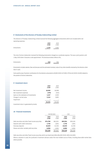#### *8* **Emoluments of the directors of Faraday Underwriting Limited**

The directors of Faraday Underwriting Limited received the following aggregate emoluments which are included within net operating expenses:

|            | 2020  | 2019  |
|------------|-------|-------|
|            | £'000 | £'000 |
| Emoluments | 1,270 | 1.564 |

The role of Active Underwriter received the following emoluments charged as a syndicate expense. This was a joint position until 1 May 2019 when it became a sole appointment. The disclosure below reflects this.

| <b>Emoluments</b> | 519 | 705 |
|-------------------|-----|-----|
|                   |     |     |

Emoluments includes salaries, fees and bonuses and the estimated monetary value of any other benefits received by the directors other than in cash.

Sums paid by way of pension contributions for the directors amounted to £9,000 (2019: £17,000). Of this £nil (2019: £3,000) related to the position of Active Underwriter.

#### *9* **Investment return**

|                                         | 2020<br>£'000 | 2019<br>£'000 |
|-----------------------------------------|---------------|---------------|
| Net investment income                   | 18,009        | 18,998        |
| Net investment expenses                 | (478)         | (520)         |
| Gains on the realisation of investments | 1,347         | 2,939         |
| Change in carried value                 | 5,343         | 3,893         |
| Impairment                              |               |               |
|                                         | 24,221        | 25,310        |

Investment return is generated by bonds.

## *10* **Financial investments**

|                                                   | Carried value |               | Cost          |               |
|---------------------------------------------------|---------------|---------------|---------------|---------------|
|                                                   | 2020<br>£'000 | 2019<br>£'000 | 2020<br>£'000 | 2019<br>£'000 |
| Debt securities and other fixed income securities | 874,768       | 862.921       | 869,904       | 859,105       |
| Deposits with credit institutions                 | 1.746         | 1.844         | 1.746         | 1,844         |
| Overseas deposits                                 | 40,829        | 41.536        | 40,829        | 41,536        |
| Shares and other variable yield securities        | 6,950         | 1,551         | 6,950         | 1,551         |
|                                                   | 924,293       | 907.852       | 919,429       | 904.036       |

Debt securities and other fixed income securities which are listed total £834,584,000 (2019: £831,342,000). Where a valuation is used, the syndicate's investment advisers select the most reliable source of data, including observable market data where possible.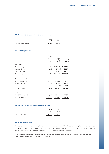#### *11* **Debtors arising out of direct insurance operations**

|                         | 2020<br>£'000 | 2019<br>£'000 |
|-------------------------|---------------|---------------|
| Due from intermediaries | 46.367        | 48.447        |

#### *12* **Technical provisions**

|                          | Provision<br>for<br>unearned<br>premium<br>£'000 | Claims<br>outstanding<br>£'000 | Total<br>£'000 |
|--------------------------|--------------------------------------------------|--------------------------------|----------------|
| Gross amount             |                                                  |                                |                |
| As at beginning of year  | 161,035                                          | 1,242,427                      | 1,403,462      |
| Movement in provision    | (3,808)                                          | (17,348)                       | (21, 156)      |
| Foreign exchange         | (3,028)                                          | (21, 883)                      | (24,911)       |
| As at end of year        | 154,199                                          | 1,203,196                      | 1,357,395      |
|                          |                                                  |                                |                |
| Reinsurance amount       |                                                  |                                |                |
| As at beginning of year  | 4,339                                            | 295,576                        | 299,915        |
| Movement in provision    | 272                                              | (37, 293)                      | (37,021)       |
| Foreign exchange         | (446)                                            | (5, 129)                       | (5, 575)       |
| As at end of year        | 4,165                                            | 253,154                        | 257,319        |
|                          |                                                  |                                |                |
| Net technical provisions |                                                  |                                |                |
| As at 31 December 2020   | 150,034                                          | 950,042                        | 1,100,076      |
| As at 31 December 2019   | 156,696                                          | 946,851                        | 1,103,547      |
|                          |                                                  |                                |                |

#### *13* **Creditors arising out of direct insurance operations**

|                       | 2020<br>£'000 | 2019<br>£'000 |
|-----------------------|---------------|---------------|
| Due to intermediaries | 10,735        | 9,181         |

## *14* **Capital management**

The objective of the syndicate in managing its member's balance is to ensure that it will be able to continue as a going concern and comply with the regulators' requirements of the markets in which the syndicate operates. The capital structure of the syndicate consists of retained profit or loss for each underwriting year. Reinsurance is used in the management of the syndicate's risk and capital.

The syndicate was in compliance with capital requirements imposed by Lloyd's of London throughout the financial year. The syndicate is capitalised by its sole corporate member, Faraday Capital Limited.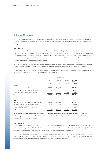## *15* **Financial risk management**

The syndicate monitors and manages the financial risks relating to the operations of the syndicate through internal risk reports which analyse exposures by degree and magnitude of risks. These risks include market risk (currency risk, interest rate risk and price risk), credit risk and liquidity risk.

#### *15 (a)* **Fair value**

Fair value is the amount for which an asset or liability could be exchanged between willing parties in an arm's length transaction. Fair values are determined at prices quoted in active markets. In some instances, such price information is not available for all instruments and the managing agent applies valuation techniques to measure such instruments. These valuation techniques make maximum use of market observable data but in some cases management estimates as well as observable market inputs are used within the valuation model. There is no standard model and different assumptions would generate different results.

Fair values are subject to a control framework designed to ensure that input variables and output are assessed independent of the risk taker. These inputs and outputs are provided to us by our investment managers who derive them through a formal valuation committee.

The table below shows financial assets and liabilities carried at fair value through profit or loss (as disclosed in note 10) grouped into the level in the fair value hierarchy into which each fair value measurement is categorised.

|                                                   | Fair value hierarchy |         |         |                         |
|---------------------------------------------------|----------------------|---------|---------|-------------------------|
|                                                   | Level 1              | Level 2 | Level 3 | Sub-total<br>fair value |
|                                                   | £'000                | £'000   | £'000   | £'000                   |
| 2020                                              |                      |         |         |                         |
| Debt securities and other fixed income securities | 622,959              | 251,809 |         | 874,768                 |
| Loans and deposits with credit institutions       | 8,902                | 33,673  |         | 42,575                  |
| Shares and other variable yield securities        |                      |         | 6,950   | 6,950                   |
| Total                                             | 631,861              | 285,482 | 6,950   | 924,293                 |
| 2019                                              |                      |         |         |                         |
| Debt securities and other fixed income securities | 502,754              | 360,167 |         | 862,921                 |
| Loans and deposits with credit institutions       | 7,909                | 35,471  |         | 43,380                  |
| Shares and other variable yield securities        |                      |         | 1,551   | 1,551                   |
| Total                                             | 510.663              | 395,638 | 1,551   | 907.852                 |

Shares and other variable yield securities classified as Level 3 are loans to the Lloyd's Central Fund in respect of the 2019 and 2020 underwriting years; they are not tradeable. Their valuation, in accordance with our policy as fair value, recognises the credit and illiquidity risk of the loans and an element of subjectivity.

#### *15 (b)* **Market risk**

Market risk is the risk of adverse financial impact as a consequence of market movements such as currency exchange rates, interest rates and other price changes. Market risk arises due to fluctuations in both the value of assets held and the value of liabilities. The objective of the syndicate in managing its market risk is to ensure risk is managed in line with the syndicate's risk appetite.

The syndicate undertakes certain transactions denominated in foreign currencies and has minimal exposure to currency risk as the syndicate's financial assets are primarily matched to the same currencies as its insurance contract liabilities. As a result, foreign exchange risk arises only to the extent that assets and liabilities denominated in other currencies are not precisely matched.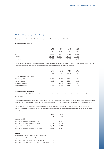Carrying amounts of the syndicate's material foreign currency denominated assets and liabilities:

#### *1.* **Foreign currency exposure**

|             | USD<br>2020<br>£'000 | USD<br>2019<br>£'000 | CAD<br>2020<br>£'000 | CAD<br>2019<br>£'000 |
|-------------|----------------------|----------------------|----------------------|----------------------|
| Assets      | 927,458              | 969,039              | 71,627               | 55.444               |
| Liabilities | 909,261              | 928,234              | 48,824               | 40,356               |
| Net Assets  | 18,197               | 40,805               | 22,803               | 15,088               |

The following table details the syndicate's sensitivity to a increase and decrease in the value of GBP against the relevant foreign currencies. For each sensitivity the impact of change in a single factor is shown, with other assumptions unchanged.

|                                | <b>USD</b><br>2020<br>£'000 | <b>USD</b><br>2019<br>£'000 | <b>CAD</b><br>2020<br>£'000 | CAD<br>2019<br>£'000 |
|--------------------------------|-----------------------------|-----------------------------|-----------------------------|----------------------|
| Change in exchange against GBP |                             |                             |                             |                      |
| Weakens by 20%                 | 3,639                       | 8.161                       | 4.561                       | 3,018                |
| Weakens by 10%                 | 1,820                       | 4.081                       | 2,280                       | 1,509                |
| Strengthens by 10%             | (1,820)                     | (4.081)                     | (2, 280)                    | (1,509)              |
| Strengthens by 20%             | (3,639)                     | (8,161)                     | (4, 561)                    | (3,018)              |

#### *2.* **Interest rate risk management**

Interest rate risk is the risk that the value of future cash flows of a financial instrument will fluctuate because of changes in market interest rates.

The syndicate is exposed to interest rate risk as it invests in long term debt at both fixed and floating interest rates. The risk is managed by the syndicate by maintaining an appropriate mix of asset duration such that the duration of liabilities is closely matched by our asset portfolio.

The sensitivity analyses below have been determined based on the exposure to interest rates. A 0.5% increase or decrease is used when reporting interest rate risk internally to key management personnel and represents management's assessment of the reasonably possible change in interest rates.

|                                                 | 2020    | 2019     |
|-------------------------------------------------|---------|----------|
|                                                 | £'000   | £'000    |
| Interest rate risk                              |         |          |
| Impact of 50 basis point increase on result     | (5,013) | (8, 125) |
| Impact of 50 basis point decrease on result     | 3.018   | 8.227    |
| Impact of 50 basis point increase on net assets | (5.013) | (8, 125) |
| Impact of 50 basis point decrease on net assets | 3.018   | 8.227    |

#### **Price risk**

| Impact on result of 5% increase in Stock Market prices     | ۰ |  |
|------------------------------------------------------------|---|--|
| Impact on result of 5% increase in Stock Market prices     | ۰ |  |
| Impact on net assets of 5% increase in Stock Market prices | ۰ |  |
| Impact on net assets of 5% decrease in Stock Market prices | ۰ |  |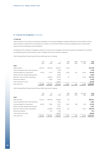## *3***. Credit risk**

Credit risk refers to the risk that a counterparty will default on its contractual obligations resulting in financial loss to the syndicate. The key areas of exposure to credit risk for the syndicate are in relation to its investment portfolio, reinsurance programme and to a lesser extent amounts due from policyholders and intermediaries.

The objective of the syndicate in managing its credit risk is to ensure risk is managed in line with the syndicate's risk appetite. The syndicate has established policies and procedures in order to manage credit risk and methods to measure it.

Credit rating relating to financial assets that are neither past due nor impaired

|                                             | AAA<br>£'000             | AA<br>£'000 | $\overline{A}$<br>£'000 | <b>BBB</b><br>£'000 | $<$ BBB<br>£'000 | Not rated<br>£'000       | <b>Total</b><br>£'000 |
|---------------------------------------------|--------------------------|-------------|-------------------------|---------------------|------------------|--------------------------|-----------------------|
| 2020                                        |                          |             |                         |                     |                  |                          |                       |
| Debt securities                             | 133.312                  | 582.165     | 154,545                 | 4.746               |                  | $\overline{\phantom{a}}$ | 874,768               |
| Loans and deposits with credit institutions |                          |             | 1.746                   |                     |                  |                          | 1.746                 |
| Overseas deposits as investments            | 21.543                   | 4.217       | 8.982                   | 3.200               | 441              | 2.446                    | 40,829                |
| Shares and other variable yield securities  |                          |             | 6,950                   |                     |                  |                          | 6,950                 |
| Reinsurer' share of claims outstanding      | $\overline{\phantom{a}}$ | 169.591     | 79.749                  | 61                  |                  | 3.753                    | 253,154               |
| Reinsurance debtors                         | $\overline{\phantom{0}}$ | 5.540       | 3.641                   |                     |                  |                          | 9.181                 |
| Cash at bank and in hand                    |                          |             | 16,379                  |                     |                  | $\overline{\phantom{a}}$ | 16,379                |
| Total credit risk                           | 154,855                  | 761,513     | 271,992                 | 8.007               | 441              | 6.199                    | 1,203,007             |

Credit rating relating to financial assets that are neither past due nor impaired

|                                             | AAA<br>£'000             | AA<br>£'000 | $\overline{A}$<br>£'000 | <b>BBB</b><br>£'000 | $<$ BBB<br>£'000 | Not rated<br>£'000       | Total<br>£'000 |
|---------------------------------------------|--------------------------|-------------|-------------------------|---------------------|------------------|--------------------------|----------------|
| 2019                                        |                          |             |                         |                     |                  |                          |                |
| Debt securities                             | 142.311                  | 560.782     | 159.696                 | 132                 |                  | $\overline{\phantom{a}}$ | 862,921        |
| Loans and deposits with credit institutions |                          |             | 1.844                   |                     |                  |                          | 1,844          |
| Overseas deposits as investments            | 26.211                   | 5.384       | 6.137                   | 3.042               | 268              | 494                      | 41,536         |
| Shares and other variable yield securities  |                          |             | 1,551                   |                     |                  |                          | 1,551          |
| Reinsurer' share of claims outstanding      | $\overline{\phantom{a}}$ | 220.685     | 69.236                  | 126                 |                  | 5.529                    | 295,576        |
| Reinsurance debtors                         |                          | 211         | 603                     |                     |                  |                          | 814            |
| Cash at bank and in hand                    |                          |             | 49,929                  |                     |                  | ٠                        | 49,929         |
| Total credit risk                           | 168,522                  | 787.062     | 288,996                 | 3,300               | 268              | 6.023                    | 1.254.171      |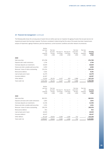The following table shows the carrying value of assets that are neither past due nor impaired, the ageing of assets that are past due but not impaired and assets that have been impaired. The factors considered in determining that the value of the assets have been impaired were: analysis of impairment, ageing of balances, past loss experience, current economic conditions and other relevant circumstances.

| Neither<br>past due<br>nor<br>unpaired | Past due<br>less than<br>30 Days | Past due 31<br>to 60 Days | Past due 61<br>to 90 Days | Past due<br>more than<br>90 Days | Past due<br>and<br>impaired | Carrying<br>amount |
|----------------------------------------|----------------------------------|---------------------------|---------------------------|----------------------------------|-----------------------------|--------------------|
|                                        |                                  |                           |                           |                                  |                             | £'000              |
|                                        |                                  |                           |                           |                                  |                             |                    |
| 874,768                                |                                  |                           |                           |                                  |                             | 874,768            |
| 1,746                                  |                                  |                           |                           |                                  |                             | 1,746              |
| 40,829                                 |                                  |                           |                           |                                  |                             | 40,829             |
| 6,950                                  |                                  |                           |                           |                                  |                             | 6,950              |
| 253,154                                |                                  |                           |                           |                                  |                             | 253,154            |
| 9,181                                  |                                  |                           |                           |                                  |                             | 9,181              |
| 16,379                                 |                                  |                           |                           |                                  |                             | 16,379             |
| 46,367                                 |                                  |                           |                           |                                  |                             | 46,367             |
| 72,020                                 | 26,131                           | 4,427                     | 659                       | 3,988                            |                             | 107,225            |
| 1,321,394                              | 26,131                           | 4,427                     | 659                       | 3,988                            |                             | 1,356,599          |
|                                        | £'000                            | £'000                     | £'000                     | £'000                            | £'000                       | £'000              |

|                                             | Neither<br>past due<br>nor<br>unpaired<br>£'000 | Past due<br>less than<br>30 Days<br>£'000 | Past due 31<br>to 60 Days<br>£'000 | Past due 61<br>to 90 Days<br>£'000 | Past due<br>more than<br>90 Days<br>£'000 | Past due<br>and<br>impaired<br>£'000 | Carrying<br>amount<br>£'000 |
|---------------------------------------------|-------------------------------------------------|-------------------------------------------|------------------------------------|------------------------------------|-------------------------------------------|--------------------------------------|-----------------------------|
| 2019                                        |                                                 |                                           |                                    |                                    |                                           |                                      |                             |
| Debt securities                             | 862,921                                         |                                           |                                    |                                    |                                           |                                      | 862,921                     |
| Deposits and loans with credit institutions | 1,844                                           |                                           |                                    |                                    |                                           |                                      | 1,844                       |
| Overseas deposits as investments            | 41,536                                          |                                           |                                    |                                    |                                           |                                      | 41,536                      |
| Shares and other variable yield securities  | 1,551                                           |                                           |                                    |                                    |                                           |                                      | 1,551                       |
| Reinsurer' share of claims outstanding      | 295,576                                         |                                           |                                    |                                    |                                           | $\qquad \qquad -$                    | 295,576                     |
| Reinsurance debtors                         | 814                                             | $\qquad \qquad -$                         | ۰                                  | $\overline{\phantom{0}}$           | $\overline{\phantom{0}}$                  |                                      | 814                         |
| Cash at bank and in hand                    | 49,929                                          | $\overline{\phantom{0}}$                  |                                    | $\overline{\phantom{0}}$           | $\overline{\phantom{0}}$                  | $\qquad \qquad -$                    | 49,929                      |
| Insurance debtors                           | 48,447                                          |                                           |                                    |                                    |                                           | $\qquad \qquad -$                    | 48,447                      |
| Other debtors                               | 97,229                                          | 19,641                                    | 3,360                              | 1,284                              | 732                                       |                                      | 122,246                     |
| Total credit risk                           | 1,399,847                                       | 19,641                                    | 3,360                              | 1,284                              | 732                                       |                                      | 1,424,864                   |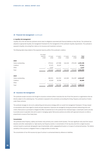#### *4.* **Liquidity risk management**

Liquidity risk is the risk that the syndicate cannot meet its obligations associated with financial liabilities as they fall due. The syndicate has adopted an appropriate liquidity risk management framework for the management of the syndicate's liquidity requirements. The syndicate is exposed to liquidity risk arising from clients on its insurance and investment contracts.

The following table shows details of the expected maturity profile of the syndicate's creditors.

|                    | No stated<br>maturity<br>£'000 | $0-1$ year<br>£'000 | 1-3 years<br>£'000 | 3-5 years<br>£'000 | >5 years<br>£'000 | Total<br>£'000 |
|--------------------|--------------------------------|---------------------|--------------------|--------------------|-------------------|----------------|
| 2020               |                                |                     |                    |                    |                   |                |
| Claims outstanding | $\qquad \qquad \blacksquare$   | 379,541             | 427,998            | 116,318            | 279,339           | 1,203,196      |
| Creditors          | $\qquad \qquad \blacksquare$   | 37,475              | 20,137             |                    |                   | 57,612         |
| Other              |                                | 3,247               |                    |                    |                   | 3,247          |
| Total              |                                | 420,263             | 448,135            | 116,318            | 279,339           | 1,264,055      |
| 2019               |                                |                     |                    |                    |                   |                |
| Claims outstanding | $\qquad \qquad -$              | 380,931             | 361,530            | 145,369            | 354,597           | 1,242,427      |
| Creditors          | $\qquad \qquad -$              | 45,918              | 20,768             |                    |                   | 66,686         |
| Other              |                                |                     |                    |                    |                   |                |
| Total              |                                | 426,849             | 382,298            | 145,369            | 354,597           | 1,309,113      |

#### *16* **Insurance risk management**

The syndicate accepts insurance risk through its insurance contracts where it assumes the risk of loss from persons or organisations that are directly subject to the underlying loss. The syndicate is exposed to the uncertainty surrounding the timing, frequency and severity of claims under these contracts.

The syndicate manages its risk via its underwriting and reinsurance strategy within an overall risk management framework. Pricing is based on assumptions which have regard to trends and past experience. Exposures are managed by having documented underwriting limits and criteria. Reinsurance is purchased to mitigate the effect of potential loss to the syndicate from individual large or catastrophic events and also to provide access to specialist risks and to assist in managing capital. Reinsurance policies are written with approved reinsurers on either a proportional or excess of loss treaty basis.

#### **Concentration**

The syndicate writes Property, Liability and Aviation risks primarily over a twelve month duration. The most significant risks arise from natural disasters and other catastrophes (i.e. high severity, low frequency events). A concentration of risk may also arise from a single insurance contract issued to a particular demographic type of policyholder, within a geographical location or to types of commercial business. The relative variability of the outcome is mitigated if there is a large portfolio of similar risks.

The concentration of non-life insurance by type of contract is summarised below by reference to liabilities.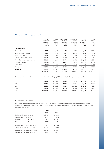# *16* **Insurance risk management** (continued)

|                                   | Gross      | Gross      | Reinsurance | Reinsurance | <b>Net</b> | Net        |
|-----------------------------------|------------|------------|-------------|-------------|------------|------------|
|                                   | technical  | technical  | technical   | technical   | technical  | technical  |
|                                   | provisions | provisions | provisions  | provisions  | provisions | provisions |
|                                   | 2020       | 2019       | 2020        | 2019        | 2020       | 2019       |
|                                   | £'000      | £'000      | £'000       | £'000       | £'000      | £'000      |
| <b>Direct insurance</b>           |            |            |             |             |            |            |
| Accident & health                 | 3,579      | 17,946     | 287         | 904         | 3,292      | 17,042     |
| Motor (third party liability)     | 6,219      | 30,011     | 2,379       | 10,066      | 3,840      | 19,945     |
| Motor (other classes)             | 14,724     | 17,252     | 1,134       | 2,249       | 13,590     | 15,003     |
| Marine, aviation and transport    | 50,826     | 60,554     | 21,206      | 25,403      | 29,620     | 35,151     |
| Fire and other damage to property | 122,186    | 78,504     | 13,788      | 12,272      | 108,398    | 66,232     |
| Third party liability             | 167,388    | 157,316    | 10,915      | 11,656      | 156,473    | 145,660    |
| Other direct                      | 3,360      | 13,314     | 354         | 3,179       | 3,006      | 10,135     |
| Total direct                      | 368,282    | 374,897    | 50,063      | 65.729      | 318,219    | 309,168    |
| Reinsurance                       | 989,113    | 1,028,565  | 206,932     | 234,186     | 782,181    | 794,379    |
|                                   | 1,357,395  | 1,403,462  | 256,995     | 299,915     | 1,100,400  | 1,103,547  |

The concentration of non-life insurance by the location of the underlying risk is summarised below by reference to liabilities.

| 403,491   | 392,763   | 186,685 | 132.525 | 216,806   | 260,238   |
|-----------|-----------|---------|---------|-----------|-----------|
| 97.113    | 107.821   | 10.953  | 11.064  | 86,160    | 96,757    |
| 651,308   | 678,522   | 48,263  | 135,588 | 603.045   | 542.934   |
| 205,483   | 224,356   | 11.094  | 20,738  | 194.389   | 203,618   |
| 1,357,395 | 1,403,462 | 256,995 | 299.915 | 1.100.400 | 1,103,547 |
|           |           |         |         |           |           |

#### **Assumptions and sensitivities**

Some results of sensitivity testing are set out below, showing the impact on profit before tax and shareholders' equity gross and net of reinsurance. For each sensitivity the impact of a change in a single factor is shown, measured against earned premium in the year, with other assumptions unchanged.

|                                       | 2020<br>£'000 | 2019<br>£'000 |
|---------------------------------------|---------------|---------------|
| 5% increase in loss ratio - gross     | (20, 408)     | (22, 170)     |
| 5% increase in loss ratio - net       | (17, 927)     | (19, 935)     |
| 5% decrease in loss ratio - gross     | 20,408        | 22.170        |
| 5% decrease in loss ratio - net       | 17,927        | 19,935        |
| 5% increase in expenses ratio - gross | (20, 408)     | (22, 170)     |
| 5% increase in expenses ratio - net   | (17, 927)     | (19, 935)     |
| 5% decrease in expenses ratio - gross | 20,408        | 22,170        |
| 5% decrease in expenses ratio - net   | 17.927        | 19.935        |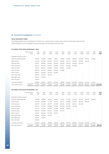# *16* **Insurance risk management** (continued)

#### **Claims development tables**

The following tables show the development of claims over a period of time on both a gross and net of reinsurance basis for each underwriting year and are translated into pounds sterling at the December 2020 year rates.

#### **An analysis of the claims development - gross**

|                              | 2010 and prior<br>£'000  | 2011<br>£'000 | 2012<br>£'000 | 2013<br>£'000 | 2014<br>£'000            | 2015<br>£'000 | 2016<br>£'000 | 2017<br>£'000 | 2018<br>£'000 | 2019<br>£'000 | 2020<br>£'000 | Total<br>£'000    |
|------------------------------|--------------------------|---------------|---------------|---------------|--------------------------|---------------|---------------|---------------|---------------|---------------|---------------|-------------------|
| Estimated of claims incurred |                          |               |               |               |                          |               |               |               |               |               |               |                   |
| At end of underwriting year  | $\sim$                   | 175,308       | 173,881       | 103,620       | 89,721                   | 80,638        | 121,827       | 406,616       | 244,408       | 219,101       | 170,082       |                   |
| After one year               | $\sim$                   | 251,306       | 241,190       | 162,150       | 151,135                  | 148,699       | 237,716       | 513,261       | 379,994       | 344,240       |               |                   |
| After two years              | $\overline{\phantom{a}}$ | 219,274       | 209,849       | 154,052       | 140,305                  | 140,758       | 239,022       | 492,160       | 364,244       |               |               |                   |
| After three years            | $\overline{\phantom{a}}$ | 201,314       | 197,264       | 137,410       | 135,896                  | 132,332       | 222,184       | 461,586       |               |               |               |                   |
| After four years             | ٠                        | 196,222       | 188,813       | 129,464       | 130,622                  | 128,454       | 214,068       |               |               |               | ۰             |                   |
| After five years             | $\sim$                   | 191,059       | 181,343       | 130,648       | 129,268                  | 125,888       |               |               |               |               |               |                   |
| After six years              | $\sim$                   | 188,255       | 180,486       | 120,923       | 131,962                  | ٠             |               |               |               |               |               |                   |
| After seven years            | $\sim$                   | 195,976       | 178,349       | 120,291       | $\overline{\phantom{a}}$ |               |               |               |               |               |               |                   |
| After eight years            |                          | 195,215       | 174,669       | ٠             |                          |               |               |               |               |               |               |                   |
| After nine years             | $\sim$                   | 191,561       |               |               |                          |               |               |               |               |               |               |                   |
| Cumulative payments          | $\overline{\phantom{a}}$ | 173,809       | 156,059       | 102,027       | 107,442                  | 90,852        | 122,642       | 315,515       | 181,476       | 111,421       | 14,473        |                   |
| Gross claims reserves        | 280,322                  | 17,752        | 18,610        | 18,264        | 24,520                   | 35,036        | 91,426        | 146,071       | 182,768       | 232,819       |               | 155,609 1,203,196 |
|                              |                          |               |               |               |                          |               |               |               |               |               |               |                   |

#### **An analysis of the claims development - net**

|                              | 2010 and prior<br>£'000 | 2011<br>£'000 | 2012<br>£'000 | 2013<br>£'000 | 2014<br>£'000 | 2015<br>£'000            | 2016<br>£'000 | 2017<br>£'000 | 2018<br>£'000 | 2019<br>£'000 | 2020<br>£'000 | Total<br>£'000           |
|------------------------------|-------------------------|---------------|---------------|---------------|---------------|--------------------------|---------------|---------------|---------------|---------------|---------------|--------------------------|
| Estimated of claims incurred |                         |               |               |               |               |                          |               |               |               |               |               |                          |
| At end of underwriting year  | $\sim$                  | 153,938       | 120,860       | 96,284        | 88,494        | 78,367                   | 114,292       | 242,623       | 174,972       | 202.192       | 164,459       | $\blacksquare$           |
| After one year               | $\sim$                  | 224,418       | 183.698       | 142,799       | 142,744       | 143,477                  | 226,898       | 345,675       | 284,018       | 308,528       |               | $\overline{\phantom{a}}$ |
| After two years              | $\sim$                  | 196,973       | 154,849       | 136,777       | 133,769       | 132,651                  | 227,813       | 336,143       | 281,408       | ٠             |               | $\blacksquare$           |
| After three years            | ٠                       | 178,721       | 141,578       | 120,608       | 127,693       | 122,490                  | 211,867       | 326,436       |               |               |               | ۰                        |
| After four years             | ٠                       | 173,423       | 133,394       | 115,020       | 121,980       | 120,287                  | 203,879       |               |               |               |               | $\blacksquare$           |
| After five years             | ٠                       | 168,262       | 125,860       | 115,617       | 119,950       | 117,453                  | ۰             |               |               |               |               | ۰                        |
| After six years              | ٠                       | 164,307       | 126,194       | 112,167       | 119,017       | $\overline{\phantom{a}}$ |               |               |               |               |               | $\blacksquare$           |
| After seven years            | ٠                       | 169,969       | 124,695       | 112,557       | ٠             |                          | ۰             |               |               |               |               | ۰                        |
| After eight years            | ٠                       | 169,363       | 121,602       |               |               |                          | ۰             |               |               |               |               | $\blacksquare$           |
| After nine years             | $\sim$                  | 166,240       |               |               |               |                          |               |               |               |               |               |                          |
| Cumulative payments          | $\sim$                  | 151,178       | 103,496       | 96,056        | 98,278        | 86,526                   | 117,751       | 206,681       | 151,657       | 110,524       | 14,473        |                          |
| Net claims reserves          | 165,082                 | 15,062        | 18,106        | 16,501        | 20,739        | 30,927                   | 86,128        | 119,755       | 129,751       | 198,004       | 149,986       | 950,042                  |